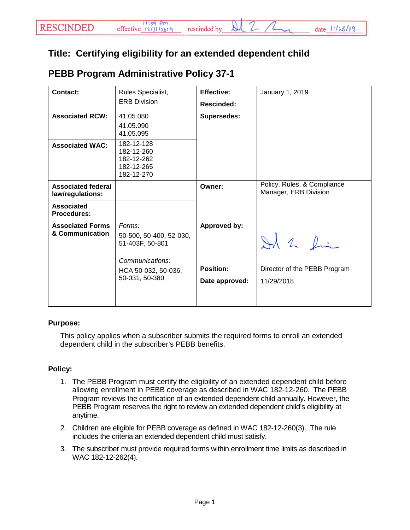## **Title: Certifying eligibility for an extended dependent child**

|  | <b>PEBB Program Administrative Policy 37-1</b> |  |
|--|------------------------------------------------|--|
|--|------------------------------------------------|--|

| <b>Contact:</b>                               | Rules Specialist,                                                                                                | <b>Effective:</b>  | January 1, 2019                                      |
|-----------------------------------------------|------------------------------------------------------------------------------------------------------------------|--------------------|------------------------------------------------------|
|                                               | <b>ERB Division</b>                                                                                              | <b>Rescinded:</b>  |                                                      |
| <b>Associated RCW:</b>                        | 41.05.080<br>41.05.090<br>41.05.095                                                                              | <b>Supersedes:</b> |                                                      |
| <b>Associated WAC:</b>                        | 182-12-128<br>182-12-260<br>182-12-262<br>182-12-265<br>182-12-270                                               |                    |                                                      |
| <b>Associated federal</b><br>law/regulations: |                                                                                                                  | Owner:             | Policy, Rules, & Compliance<br>Manager, ERB Division |
| <b>Associated</b><br><b>Procedures:</b>       |                                                                                                                  |                    |                                                      |
| <b>Associated Forms</b><br>& Communication    | Forms:<br>50-500, 50-400, 52-030,<br>51-403F, 50-801<br>Communications:<br>HCA 50-032, 50-036,<br>50-031, 50-380 | Approved by:       | $\lambda$ 2 fin                                      |
|                                               |                                                                                                                  | <b>Position:</b>   | Director of the PEBB Program                         |
|                                               |                                                                                                                  | Date approved:     | 11/29/2018                                           |

## **Purpose:**

This policy applies when a subscriber submits the required forms to enroll an extended dependent child in the subscriber's PEBB benefits.

## **Policy:**

- 1. The PEBB Program must certify the eligibility of an extended dependent child before allowing enrollment in PEBB coverage as described in WAC 182-12-260. The PEBB Program reviews the certification of an extended dependent child annually. However, the PEBB Program reserves the right to review an extended dependent child's eligibility at anytime.
- 2. Children are eligible for PEBB coverage as defined in WAC 182-12-260(3). The rule includes the criteria an extended dependent child must satisfy.
- 3. The subscriber must provide required forms within enrollment time limits as described in WAC 182-12-262(4).